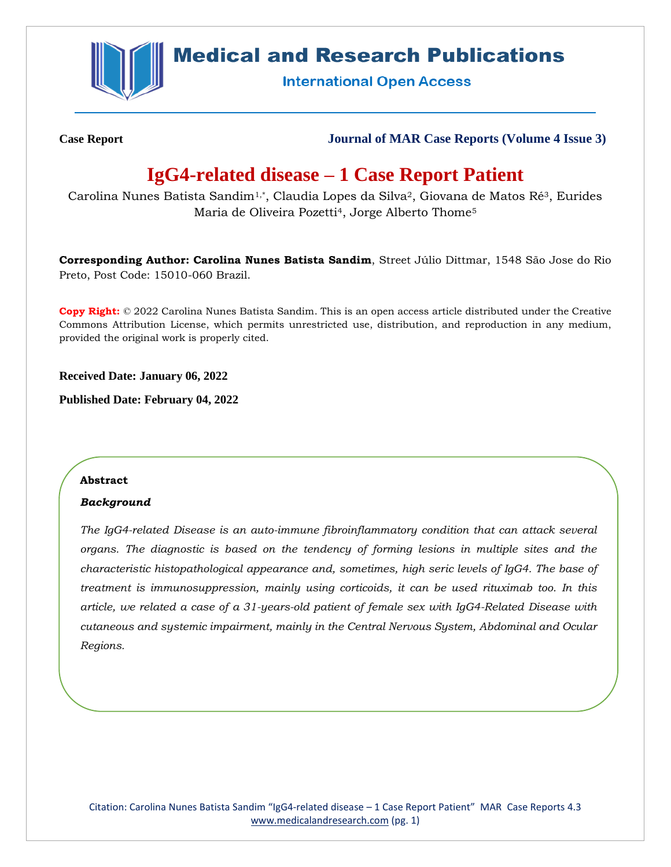

# **Medical and Research Publications**

**International Open Access** 

**Case Report Journal of MAR Case Reports (Volume 4 Issue 3)**

# **IgG4-related disease – 1 Case Report Patient**

Carolina Nunes Batista Sandim<sup>1,\*</sup>, Claudia Lopes da Silva<sup>2</sup>, Giovana de Matos Ré<sup>3</sup>, Eurides Maria de Oliveira Pozetti<sup>4</sup>, Jorge Alberto Thome<sup>5</sup>

**Corresponding Author: Carolina Nunes Batista Sandim**, Street Júlio Dittmar, 1548 São Jose do Rio Preto, Post Code: 15010-060 Brazil.

**Copy Right:** © 2022 Carolina Nunes Batista Sandim. This is an open access article distributed under the Creative Commons Attribution License, which permits unrestricted use, distribution, and reproduction in any medium, provided the original work is properly cited.

**Received Date: January 06, 2022**

**Published Date: February 04, 2022**

## **Abstract**

## *Background*

*The IgG4-related Disease is an auto-immune fibroinflammatory condition that can attack several organs. The diagnostic is based on the tendency of forming lesions in multiple sites and the characteristic histopathological appearance and, sometimes, high seric levels of IgG4. The base of treatment is immunosuppression, mainly using corticoids, it can be used rituximab too. In this article, we related a case of a 31-years-old patient of female sex with IgG4-Related Disease with cutaneous and systemic impairment, mainly in the Central Nervous System, Abdominal and Ocular Regions.*

Citation: Carolina Nunes Batista Sandim "IgG4-related disease – 1 Case Report Patient" MAR Case Reports 4.3 [www.medicalandresearch.com](http://www.medicalandresearch.com/) (pg. 1)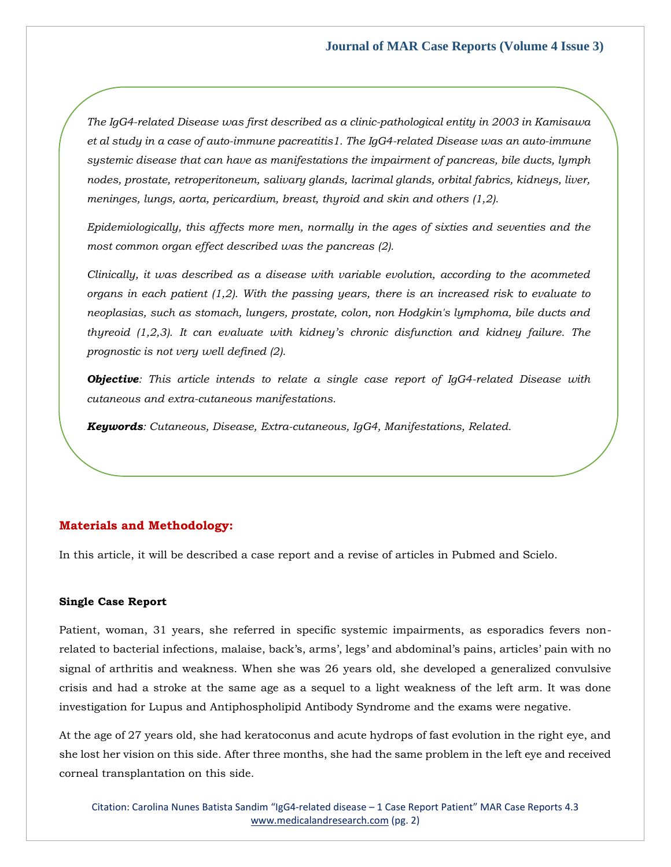*The IgG4-related Disease was first described as a clinic-pathological entity in 2003 in Kamisawa et al study in a case of auto-immune pacreatitis1. The IgG4-related Disease was an auto-immune systemic disease that can have as manifestations the impairment of pancreas, bile ducts, lymph nodes, prostate, retroperitoneum, salivary glands, lacrimal glands, orbital fabrics, kidneys, liver, meninges, lungs, aorta, pericardium, breast, thyroid and skin and others (1,2).*

*Epidemiologically, this affects more men, normally in the ages of sixties and seventies and the most common organ effect described was the pancreas (2).*

*Clinically, it was described as a disease with variable evolution, according to the acommeted organs in each patient (1,2). With the passing years, there is an increased risk to evaluate to neoplasias, such as stomach, lungers, prostate, colon, non Hodgkin's lymphoma, bile ducts and thyreoid (1,2,3). It can evaluate with kidney's chronic disfunction and kidney failure. The prognostic is not very well defined (2).*

*Objective: This article intends to relate a single case report of IgG4-related Disease with cutaneous and extra-cutaneous manifestations.*

*Keywords: Cutaneous, Disease, Extra-cutaneous, IgG4, Manifestations, Related.*

# **Materials and Methodology:**

In this article, it will be described a case report and a revise of articles in Pubmed and Scielo.

## **Single Case Report**

Patient, woman, 31 years, she referred in specific systemic impairments, as esporadics fevers nonrelated to bacterial infections, malaise, back's, arms', legs' and abdominal's pains, articles' pain with no signal of arthritis and weakness. When she was 26 years old, she developed a generalized convulsive crisis and had a stroke at the same age as a sequel to a light weakness of the left arm. It was done investigation for Lupus and Antiphospholipid Antibody Syndrome and the exams were negative.

At the age of 27 years old, she had keratoconus and acute hydrops of fast evolution in the right eye, and she lost her vision on this side. After three months, she had the same problem in the left eye and received corneal transplantation on this side.

Citation: Carolina Nunes Batista Sandim "IgG4-related disease – 1 Case Report Patient" MAR Case Reports 4.3 [www.medicalandresearch.com](http://www.medicalandresearch.com/) (pg. 2)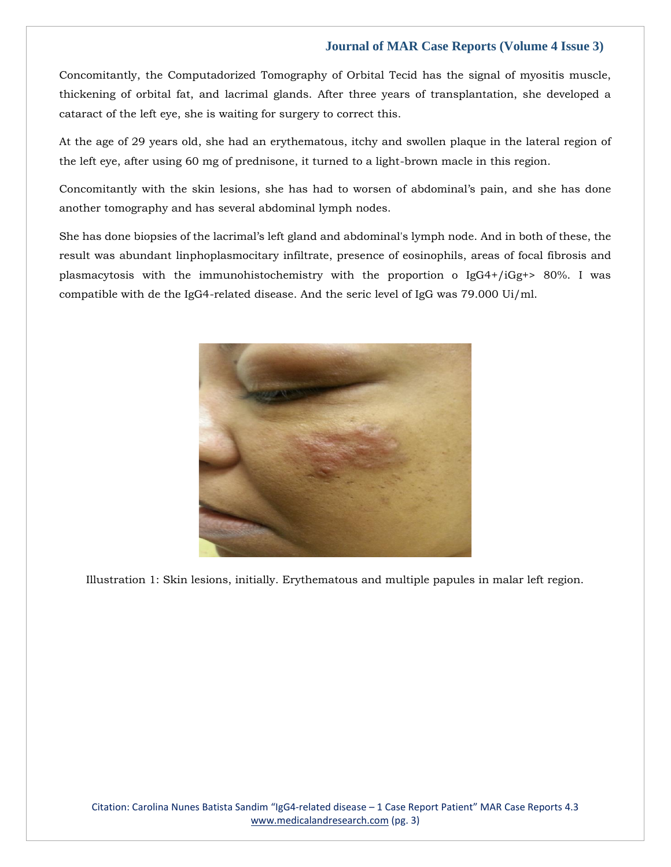Concomitantly, the Computadorized Tomography of Orbital Tecid has the signal of myositis muscle, thickening of orbital fat, and lacrimal glands. After three years of transplantation, she developed a cataract of the left eye, she is waiting for surgery to correct this.

At the age of 29 years old, she had an erythematous, itchy and swollen plaque in the lateral region of the left eye, after using 60 mg of prednisone, it turned to a light-brown macle in this region.

Concomitantly with the skin lesions, she has had to worsen of abdominal's pain, and she has done another tomography and has several abdominal lymph nodes.

She has done biopsies of the lacrimal's left gland and abdominal's lymph node. And in both of these, the result was abundant linphoplasmocitary infiltrate, presence of eosinophils, areas of focal fibrosis and plasmacytosis with the immunohistochemistry with the proportion o  $IgG4+/iGg+> 80%$ . I was compatible with de the IgG4-related disease. And the seric level of IgG was 79.000 Ui/ml.



Illustration 1: Skin lesions, initially. Erythematous and multiple papules in malar left region.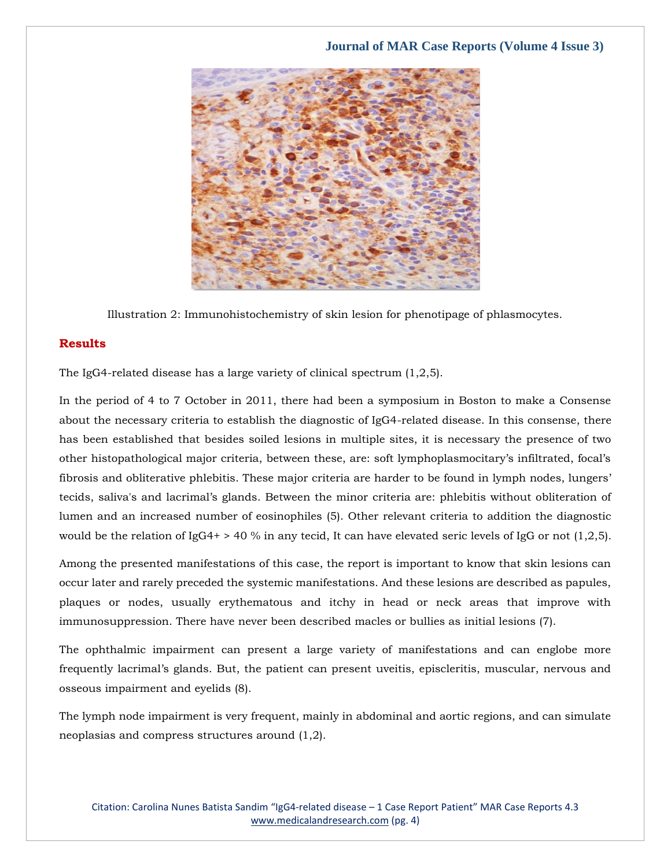

Illustration 2: Immunohistochemistry of skin lesion for phenotipage of phlasmocytes.

# **Results**

The IgG4-related disease has a large variety of clinical spectrum (1,2,5).

In the period of 4 to 7 October in 2011, there had been a symposium in Boston to make a Consense about the necessary criteria to establish the diagnostic of IgG4-related disease. In this consense, there has been established that besides soiled lesions in multiple sites, it is necessary the presence of two other histopathological major criteria, between these, are: soft lymphoplasmocitary's infiltrated, focal's fibrosis and obliterative phlebitis. These major criteria are harder to be found in lymph nodes, lungers' tecids, saliva's and lacrimal's glands. Between the minor criteria are: phlebitis without obliteration of lumen and an increased number of eosinophiles (5). Other relevant criteria to addition the diagnostic would be the relation of IgG4+ > 40 % in any tecid, It can have elevated seric levels of IgG or not (1,2,5).

Among the presented manifestations of this case, the report is important to know that skin lesions can occur later and rarely preceded the systemic manifestations. And these lesions are described as papules, plaques or nodes, usually erythematous and itchy in head or neck areas that improve with immunosuppression. There have never been described macles or bullies as initial lesions (7).

The ophthalmic impairment can present a large variety of manifestations and can englobe more frequently lacrimal's glands. But, the patient can present uveitis, episcleritis, muscular, nervous and osseous impairment and eyelids (8).

The lymph node impairment is very frequent, mainly in abdominal and aortic regions, and can simulate neoplasias and compress structures around (1,2).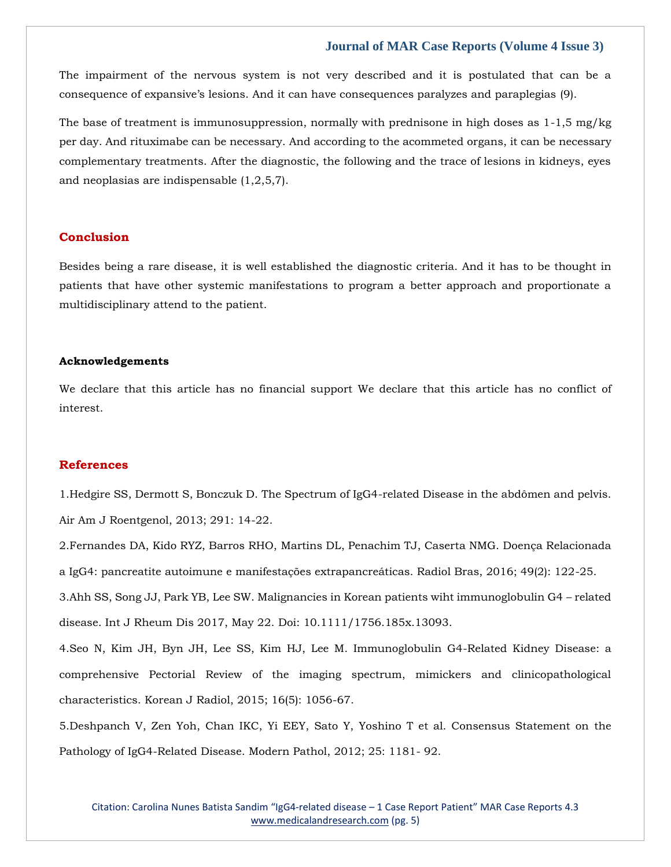The impairment of the nervous system is not very described and it is postulated that can be a consequence of expansive's lesions. And it can have consequences paralyzes and paraplegias (9).

The base of treatment is immunosuppression, normally with prednisone in high doses as  $1-1.5$  mg/kg per day. And rituximabe can be necessary. And according to the acommeted organs, it can be necessary complementary treatments. After the diagnostic, the following and the trace of lesions in kidneys, eyes and neoplasias are indispensable (1,2,5,7).

## **Conclusion**

Besides being a rare disease, it is well established the diagnostic criteria. And it has to be thought in patients that have other systemic manifestations to program a better approach and proportionate a multidisciplinary attend to the patient.

#### **Acknowledgements**

We declare that this article has no financial support We declare that this article has no conflict of interest.

## **References**

1[.Hedgire SS, Dermott S, Bonczuk D. The Spectrum of IgG4-related Disease in the abdômen and pelvis.](https://www.google.com/search?q=The+Spectrum+of+IgG4-related+Disease+in+the+abd%C3%B4men+and+pelvis&oq=The+Spectrum+of+IgG4-related+Disease+in+the+abd%C3%B4men+and+pelvis&aqs=chrome..69i57.445j0j7&sourceid=chrome&ie=UTF-8)  [Air Am J Roentgenol, 2013; 291: 14-22.](https://www.google.com/search?q=The+Spectrum+of+IgG4-related+Disease+in+the+abd%C3%B4men+and+pelvis&oq=The+Spectrum+of+IgG4-related+Disease+in+the+abd%C3%B4men+and+pelvis&aqs=chrome..69i57.445j0j7&sourceid=chrome&ie=UTF-8)

2.Fernandes DA, Kido RYZ, Barros RHO, [Martins DL, Penachim TJ, Caserta NMG. Doença Relacionada](https://www.google.com/search?q=Doen%C3%A7a+Relacionada+a+IgG4%3A+pancreatite+autoimune+e+manifesta%C3%A7%C3%B5es+extrapancre%C3%A1ticas&sxsrf=AOaemvK9gduMyguug5ub4IC-IILesXl7wQ%3A1641480722430&ei=EgLXYa3dGYSwmAWclYrYCQ&ved=0ahUKEwitrvaasJ31AhUEGKYKHZyKApsQ4dUDCA4&uact=5&oq=Doen%C3%A7a+Relacionada+a+IgG4%3A+pancreatite+autoimune+e+manifesta%C3%A7%C3%B5es+extrapancre%C3%A1ticas&gs_lcp=Cgdnd3Mtd2l6EAM6BwgjEOoCECdKBAhBGABKBAhGGABQ8gVY8gVg5ghoAXAAeACAAfsBiAH7AZIBAzItMZgBAKABAaABArABCsABAQ&sclient=gws-wiz)  [a IgG4: pancreatite autoimune e manifestações extrapancreáticas. Radiol Bras, 2016; 49\(2\): 122-25.](https://www.google.com/search?q=Doen%C3%A7a+Relacionada+a+IgG4%3A+pancreatite+autoimune+e+manifesta%C3%A7%C3%B5es+extrapancre%C3%A1ticas&sxsrf=AOaemvK9gduMyguug5ub4IC-IILesXl7wQ%3A1641480722430&ei=EgLXYa3dGYSwmAWclYrYCQ&ved=0ahUKEwitrvaasJ31AhUEGKYKHZyKApsQ4dUDCA4&uact=5&oq=Doen%C3%A7a+Relacionada+a+IgG4%3A+pancreatite+autoimune+e+manifesta%C3%A7%C3%B5es+extrapancre%C3%A1ticas&gs_lcp=Cgdnd3Mtd2l6EAM6BwgjEOoCECdKBAhBGABKBAhGGABQ8gVY8gVg5ghoAXAAeACAAfsBiAH7AZIBAzItMZgBAKABAaABArABCsABAQ&sclient=gws-wiz) 3[.Ahh SS, Song JJ, Park YB, Lee SW. Malignancies in Korean patients wiht immunoglobulin G4](https://www.google.com/search?q=Malignancies+in+Korean+patients+wiht+immunoglobulin+G4+%E2%80%93+related+disease&sxsrf=AOaemvI3I6DShAyA9OIQfK9a6C9Pni4s6g%3A1641480741651&ei=JQLXYdChJ5K0mAXIh5JY&ved=0ahUKEwiQyIuksJ31AhUSGqYKHciDBAsQ4dUDCA4&uact=5&oq=Malignancies+in+Korean+patients+wiht+immunoglobulin+G4+%E2%80%93+related+disease&gs_lcp=Cgdnd3Mtd2l6EAM6BwgjEOoCECdKBAhBGABKBAhGGABQ_gVY_gVgwAhoAXAAeACAAaYCiAGmApIBAzItMZgBAKABAaABArABCsABAQ&sclient=gws-wiz) – related [disease. Int J Rheum Dis 2017, May 22.](https://www.google.com/search?q=Malignancies+in+Korean+patients+wiht+immunoglobulin+G4+%E2%80%93+related+disease&sxsrf=AOaemvI3I6DShAyA9OIQfK9a6C9Pni4s6g%3A1641480741651&ei=JQLXYdChJ5K0mAXIh5JY&ved=0ahUKEwiQyIuksJ31AhUSGqYKHciDBAsQ4dUDCA4&uact=5&oq=Malignancies+in+Korean+patients+wiht+immunoglobulin+G4+%E2%80%93+related+disease&gs_lcp=Cgdnd3Mtd2l6EAM6BwgjEOoCECdKBAhBGABKBAhGGABQ_gVY_gVgwAhoAXAAeACAAaYCiAGmApIBAzItMZgBAKABAaABArABCsABAQ&sclient=gws-wiz) Doi: 10.1111/1756.185x.13093.

4[.Seo N, Kim JH, Byn JH, Lee SS, Kim HJ, Lee M. Immunoglobulin G4-Related Kidney Disease: a](https://www.google.com/search?q=Immunoglobulin+G4-Related+Kidney+Disease%3A+a+comprehensive+Pectorial+Review+of+the+imaging+spectrum%2C+mimickers+and+clinicopathological+characteristics&sxsrf=AOaemvLtu7U4hisl2k_A0HqsXRbQXrI-zg%3A1641480759953&ei=NwLXYYbgOZeIr7wP7Ia4oAE&ved=0ahUKEwjG1-issJ31AhUXxIsBHWwDDhQQ4dUDCA4&uact=5&oq=Immunoglobulin+G4-Related+Kidney+Disease%3A+a+comprehensive+Pectorial+Review+of+the+imaging+spectrum%2C+mimickers+and+clinicopathological+characteristics&gs_lcp=Cgdnd3Mtd2l6EAMyBwgjEOoCECcyBwgjEOoCECcyBwgjEOoCECcyBwgjEOoCECcyBwgjEOoCECcyBwgjEOoCECcyBwgjEOoCECcyBwgjEOoCECcyBwgjEOoCECcyBwgjEOoCECdKBAhBGABKBAhGGABQggZYggZghgloAXAAeACAAQCIAQCSAQCYAQCgAQGgAQKwAQrAAQE&sclient=gws-wiz)  [comprehensive Pectorial Review of the imaging spectrum, mimickers and clinicopathological](https://www.google.com/search?q=Immunoglobulin+G4-Related+Kidney+Disease%3A+a+comprehensive+Pectorial+Review+of+the+imaging+spectrum%2C+mimickers+and+clinicopathological+characteristics&sxsrf=AOaemvLtu7U4hisl2k_A0HqsXRbQXrI-zg%3A1641480759953&ei=NwLXYYbgOZeIr7wP7Ia4oAE&ved=0ahUKEwjG1-issJ31AhUXxIsBHWwDDhQQ4dUDCA4&uact=5&oq=Immunoglobulin+G4-Related+Kidney+Disease%3A+a+comprehensive+Pectorial+Review+of+the+imaging+spectrum%2C+mimickers+and+clinicopathological+characteristics&gs_lcp=Cgdnd3Mtd2l6EAMyBwgjEOoCECcyBwgjEOoCECcyBwgjEOoCECcyBwgjEOoCECcyBwgjEOoCECcyBwgjEOoCECcyBwgjEOoCECcyBwgjEOoCECcyBwgjEOoCECcyBwgjEOoCECdKBAhBGABKBAhGGABQggZYggZghgloAXAAeACAAQCIAQCSAQCYAQCgAQGgAQKwAQrAAQE&sclient=gws-wiz)  [characteristics. Korean J Radiol, 2015; 16\(5\): 1056-67.](https://www.google.com/search?q=Immunoglobulin+G4-Related+Kidney+Disease%3A+a+comprehensive+Pectorial+Review+of+the+imaging+spectrum%2C+mimickers+and+clinicopathological+characteristics&sxsrf=AOaemvLtu7U4hisl2k_A0HqsXRbQXrI-zg%3A1641480759953&ei=NwLXYYbgOZeIr7wP7Ia4oAE&ved=0ahUKEwjG1-issJ31AhUXxIsBHWwDDhQQ4dUDCA4&uact=5&oq=Immunoglobulin+G4-Related+Kidney+Disease%3A+a+comprehensive+Pectorial+Review+of+the+imaging+spectrum%2C+mimickers+and+clinicopathological+characteristics&gs_lcp=Cgdnd3Mtd2l6EAMyBwgjEOoCECcyBwgjEOoCECcyBwgjEOoCECcyBwgjEOoCECcyBwgjEOoCECcyBwgjEOoCECcyBwgjEOoCECcyBwgjEOoCECcyBwgjEOoCECcyBwgjEOoCECdKBAhBGABKBAhGGABQggZYggZghgloAXAAeACAAQCIAQCSAQCYAQCgAQGgAQKwAQrAAQE&sclient=gws-wiz)

5[.Deshpanch V, Zen Yoh, Chan IKC, Yi EEY, Sato Y, Yoshino T et al. Consensus Statement on the](https://www.google.com/search?q=Consensus+Statement+on+the+Pathology+of+IgG4-Related+Disease&sxsrf=AOaemvLMFyB2AVLNZJ0WKBYXckTdJ4JinA%3A1641480781351&ei=TQLXYcjwFNyVr7wP8NqkyAY&ved=0ahUKEwiIy4K3sJ31AhXcyosBHXAtCWkQ4dUDCA4&uact=5&oq=Consensus+Statement+on+the+Pathology+of+IgG4-Related+Disease&gs_lcp=Cgdnd3Mtd2l6EAMyBQgAEIAEMgYIABAWEB46BwgjEOoCECdKBAhBGABKBAhGGABQzwVYzwVgoAhoAXACeACAAdIBiAHSAZIBAzItMZgBAKABAaABArABCsABAQ&sclient=gws-wiz)  [Pathology of IgG4-Related Disease. Modern Pathol, 2012; 25: 1181-](https://www.google.com/search?q=Consensus+Statement+on+the+Pathology+of+IgG4-Related+Disease&sxsrf=AOaemvLMFyB2AVLNZJ0WKBYXckTdJ4JinA%3A1641480781351&ei=TQLXYcjwFNyVr7wP8NqkyAY&ved=0ahUKEwiIy4K3sJ31AhXcyosBHXAtCWkQ4dUDCA4&uact=5&oq=Consensus+Statement+on+the+Pathology+of+IgG4-Related+Disease&gs_lcp=Cgdnd3Mtd2l6EAMyBQgAEIAEMgYIABAWEB46BwgjEOoCECdKBAhBGABKBAhGGABQzwVYzwVgoAhoAXACeACAAdIBiAHSAZIBAzItMZgBAKABAaABArABCsABAQ&sclient=gws-wiz) 92.

Citation: Carolina Nunes Batista Sandim "IgG4-related disease – 1 Case Report Patient" MAR Case Reports 4.3 [www.medicalandresearch.com](http://www.medicalandresearch.com/) (pg. 5)